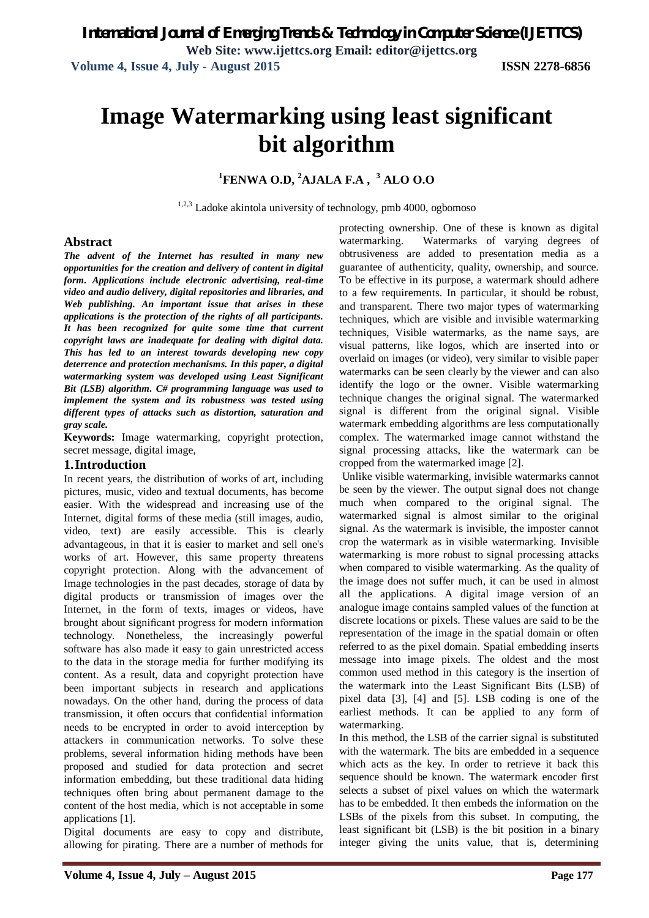# **Image Watermarking using least significant bit algorithm**

# **<sup>1</sup>FENWA O.D, <sup>2</sup>AJALA F.A , <sup>3</sup> ALO O.O**

<sup>1,2,3</sup> Ladoke akintola university of technology, pmb 4000, ogbomoso

## **Abstract**

*The advent of the Internet has resulted in many new opportunities for the creation and delivery of content in digital form. Applications include electronic advertising, real-time video and audio delivery, digital repositories and libraries, and Web publishing. An important issue that arises in these applications is the protection of the rights of all participants. It has been recognized for quite some time that current copyright laws are inadequate for dealing with digital data. This has led to an interest towards developing new copy deterrence and protection mechanisms. In this paper, a digital watermarking system was developed using Least Significant Bit (LSB) algorithm. C# programming language was used to implement the system and its robustness was tested using different types of attacks such as distortion, saturation and gray scale.*

**Keywords:** Image watermarking, copyright protection, secret message, digital image,

# **1.Introduction**

In recent years, the distribution of works of art, including pictures, music, video and textual documents, has become easier. With the widespread and increasing use of the Internet, digital forms of these media (still images, audio, video, text) are easily accessible. This is clearly advantageous, in that it is easier to market and sell one's works of art. However, this same property threatens copyright protection. Along with the advancement of Image technologies in the past decades, storage of data by digital products or transmission of images over the Internet, in the form of texts, images or videos, have brought about significant progress for modern information technology. Nonetheless, the increasingly powerful software has also made it easy to gain unrestricted access to the data in the storage media for further modifying its content. As a result, data and copyright protection have been important subjects in research and applications nowadays. On the other hand, during the process of data transmission, it often occurs that confidential information needs to be encrypted in order to avoid interception by attackers in communication networks. To solve these problems, several information hiding methods have been proposed and studied for data protection and secret information embedding, but these traditional data hiding techniques often bring about permanent damage to the content of the host media, which is not acceptable in some applications [1].

Digital documents are easy to copy and distribute, allowing for pirating. There are a number of methods for

protecting ownership. One of these is known as digital watermarking. Watermarks of varying degrees of obtrusiveness are added to presentation media as a guarantee of authenticity, quality, ownership, and source. To be effective in its purpose, a watermark should adhere to a few requirements. In particular, it should be robust, and transparent. There two major types of watermarking techniques, which are visible and invisible watermarking techniques, Visible watermarks, as the name says, are visual patterns, like logos, which are inserted into or overlaid on images (or video), very similar to visible paper watermarks can be seen clearly by the viewer and can also identify the logo or the owner. Visible watermarking technique changes the original signal. The watermarked signal is different from the original signal. Visible watermark embedding algorithms are less computationally complex. The watermarked image cannot withstand the signal processing attacks, like the watermark can be cropped from the watermarked image [2].

Unlike visible watermarking, invisible watermarks cannot be seen by the viewer. The output signal does not change much when compared to the original signal. The watermarked signal is almost similar to the original signal. As the watermark is invisible, the imposter cannot crop the watermark as in visible watermarking. Invisible watermarking is more robust to signal processing attacks when compared to visible watermarking. As the quality of the image does not suffer much, it can be used in almost all the applications. A digital image version of an analogue image contains sampled values of the function at discrete locations or pixels. These values are said to be the representation of the image in the spatial domain or often referred to as the pixel domain. Spatial embedding inserts message into image pixels. The oldest and the most common used method in this category is the insertion of the watermark into the Least Significant Bits (LSB) of pixel data [3], [4] and [5]. LSB coding is one of the earliest methods. It can be applied to any form of watermarking.

In this method, the LSB of the carrier signal is substituted with the watermark. The bits are embedded in a sequence which acts as the key. In order to retrieve it back this sequence should be known. The watermark encoder first selects a subset of pixel values on which the watermark has to be embedded. It then embeds the information on the LSBs of the pixels from this subset. In computing, the least significant bit (LSB) is the bit position in a binary integer giving the units value, that is, determining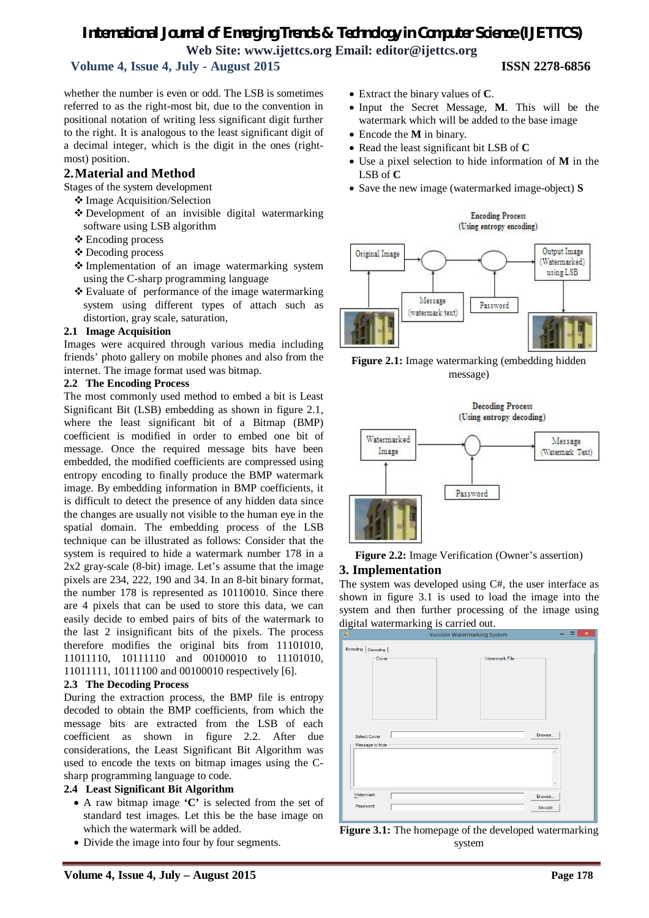# *International Journal of Emerging Trends & Technology in Computer Science (IJETTCS)* **Web Site: www.ijettcs.org Email: editor@ijettcs.org**

# **Volume 4, Issue 4, July - August 2015 ISSN 2278-6856**

whether the number is even or odd. The LSB is sometimes referred to as the right-most bit, due to the convention in positional notation of writing less significant digit further to the right. It is analogous to the least significant digit of a decimal integer, which is the digit in the ones (rightmost) position.

## **2.Material and Method**

Stages of the system development

- Image Acquisition/Selection
- Development of an invisible digital watermarking software using LSB algorithm
- Encoding process
- Decoding process
- Implementation of an image watermarking system using the C-sharp programming language
- Evaluate of performance of the image watermarking system using different types of attach such as distortion, gray scale, saturation,

### **2.1 Image Acquisition**

Images were acquired through various media including friends' photo gallery on mobile phones and also from the internet. The image format used was bitmap.

### **2.2 The Encoding Process**

The most commonly used method to embed a bit is Least Significant Bit (LSB) embedding as shown in figure 2.1, where the least significant bit of a Bitmap (BMP) coefficient is modified in order to embed one bit of message. Once the required message bits have been embedded, the modified coefficients are compressed using entropy encoding to finally produce the BMP watermark image. By embedding information in BMP coefficients, it is difficult to detect the presence of any hidden data since the changes are usually not visible to the human eye in the spatial domain. The embedding process of the LSB technique can be illustrated as follows: Consider that the system is required to hide a watermark number 178 in a 2x2 gray-scale (8-bit) image. Let's assume that the image pixels are 234, 222, 190 and 34. In an 8-bit binary format, the number 178 is represented as 10110010. Since there are 4 pixels that can be used to store this data, we can easily decide to embed pairs of bits of the watermark to the last 2 insignificant bits of the pixels. The process therefore modifies the original bits from 11101010, 11011110, 10111110 and 00100010 to 11101010, 11011111, 10111100 and 00100010 respectively [6].

### **2.3 The Decoding Process**

During the extraction process, the BMP file is entropy decoded to obtain the BMP coefficients, from which the message bits are extracted from the LSB of each coefficient as shown in figure 2.2. After due considerations, the Least Significant Bit Algorithm was used to encode the texts on bitmap images using the Csharp programming language to code.

### **2.4 Least Significant Bit Algorithm**

- A raw bitmap image **'C'** is selected from the set of standard test images. Let this be the base image on which the watermark will be added.
- Divide the image into four by four segments.
- Extract the binary values of **C**.
- Input the Secret Message, **M**. This will be the watermark which will be added to the base image
- Encode the **M** in binary.
- Read the least significant bit LSB of **C**
- Use a pixel selection to hide information of **M** in the LSB of **C**
- Save the new image (watermarked image-object) **S**











The system was developed using C#, the user interface as shown in figure 3.1 is used to load the image into the system and then further processing of the image using digital watermarking is carried out.



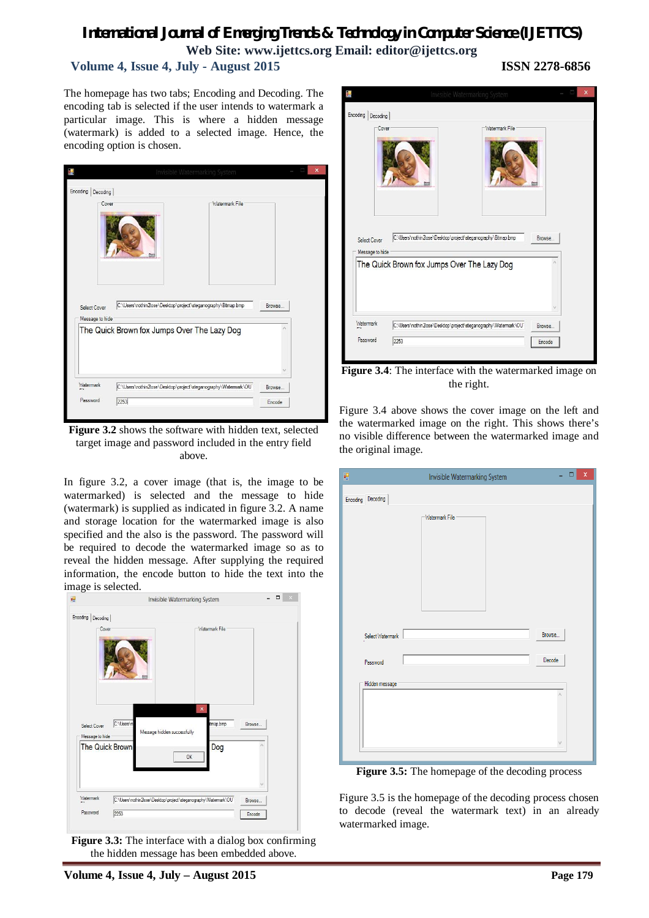# *International Journal of Emerging Trends & Technology in Computer Science (IJETTCS)*

**Web Site: www.ijettcs.org Email: editor@ijettcs.org** 

# **Volume 4, Issue 4, July - August 2015 ISSN 2278-6856**

The homepage has two tabs; Encoding and Decoding. The encoding tab is selected if the user intends to watermark a particular image. This is where a hidden message (watermark) is added to a selected image. Hence, the encoding option is chosen.

| Cover                           | Watermark File                                                   |        |
|---------------------------------|------------------------------------------------------------------|--------|
|                                 | C:\Users\nothin2lose\Desktop\project\steganography\Bitmap.bmp    | Browse |
| Select Cover<br>Message to hide |                                                                  |        |
|                                 | The Quick Brown fox Jumps Over The Lazy Dog                      |        |
| Watermark                       | C:\Users\nothin2lose\Desktop\project\steganography\Watermark\OU" | Browse |

**Figure 3.2** shows the software with hidden text, selected target image and password included in the entry field above.

In figure 3.2, a cover image (that is, the image to be watermarked) is selected and the message to hide (watermark) is supplied as indicated in figure 3.2. A name and storage location for the watermarked image is also specified and the also is the password. The password will be required to decode the watermarked image so as to reveal the hidden message. After supplying the required information, the encode button to hide the text into the image is selected.



**Figure 3.3:** The interface with a dialog box confirming the hidden message has been embedded above.



**Figure 3.4**: The interface with the watermarked image on the right.

Figure 3.4 above shows the cover image on the left and the watermarked image on the right. This shows there's no visible difference between the watermarked image and the original image.

| 吧                 | ÷.<br>Invisible Watermarking System | $\bar{\mathsf{x}}$<br>$\Box$ |
|-------------------|-------------------------------------|------------------------------|
| Encoding Decoding |                                     |                              |
|                   | Watermark File                      |                              |
| Select Watermark  | Browse                              |                              |
| Password          | Decode                              |                              |
| Hidden message    | ٨                                   |                              |

**Figure 3.5:** The homepage of the decoding process

Figure 3.5 is the homepage of the decoding process chosen to decode (reveal the watermark text) in an already watermarked image.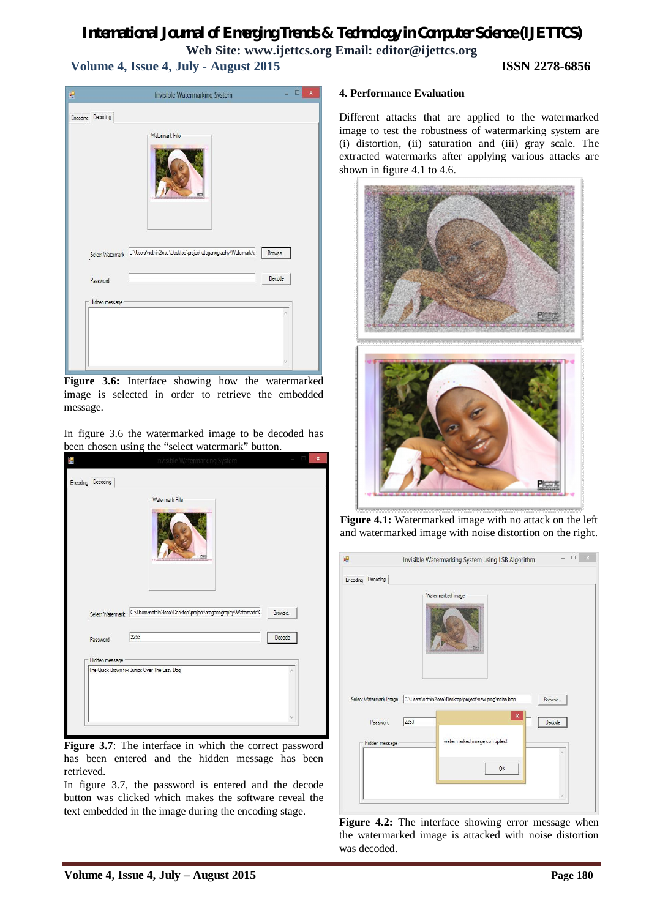# *International Journal of Emerging Trends & Technology in Computer Science (IJETTCS)* **Web Site: www.ijettcs.org Email: editor@ijettcs.org Volume 4, Issue 4, July - August 2015 ISSN 2278-6856**

| Encoding Decoding | Watermark File                                                                           |  |  |
|-------------------|------------------------------------------------------------------------------------------|--|--|
|                   | Select Watermark C:\Users\nothin2lose\Desktop\project\steganography\Watermark\<br>Browse |  |  |
| Password          | Decode                                                                                   |  |  |
| Hidden message    |                                                                                          |  |  |
|                   |                                                                                          |  |  |

**Figure 3.6:** Interface showing how the watermarked image is selected in order to retrieve the embedded message.

In figure 3.6 the watermarked image to be decoded has been chosen using the "select watermark" button.

| Encoding Decoding | Invisible Watermarking System                                                  |        |
|-------------------|--------------------------------------------------------------------------------|--------|
|                   | Watermark File                                                                 |        |
|                   | Select Watermark C:\Users\nothin2lose\Desktop\project\steganography\Watermark\ | Browse |
| Password          | 2253                                                                           | Decode |
| Hidden message    |                                                                                |        |
|                   | The Quick Brown fox Jumps Over The Lazy Dog                                    |        |
|                   |                                                                                |        |

**Figure 3.7**: The interface in which the correct password has been entered and the hidden message has been retrieved.

In figure 3.7, the password is entered and the decode button was clicked which makes the software reveal the text embedded in the image during the encoding stage.

### **4. Performance Evaluation**

Different attacks that are applied to the watermarked image to test the robustness of watermarking system are (i) distortion, (ii) saturation and (iii) gray scale. The extracted watermarks after applying various attacks are shown in figure 4.1 to 4.6.



**Figure 4.1:** Watermarked image with no attack on the left and watermarked image with noise distortion on the right.

| Encoding Decoding | Watermarked Image                                                                        |
|-------------------|------------------------------------------------------------------------------------------|
|                   |                                                                                          |
|                   | Select Watermark Image C:\Users\nothin2lose\Desktop\project\new prog\noise.bmp<br>Browse |
| Password          | $\boldsymbol{\times}$<br>2253<br>Decode                                                  |

**Figure 4.2:** The interface showing error message when the watermarked image is attacked with noise distortion was decoded.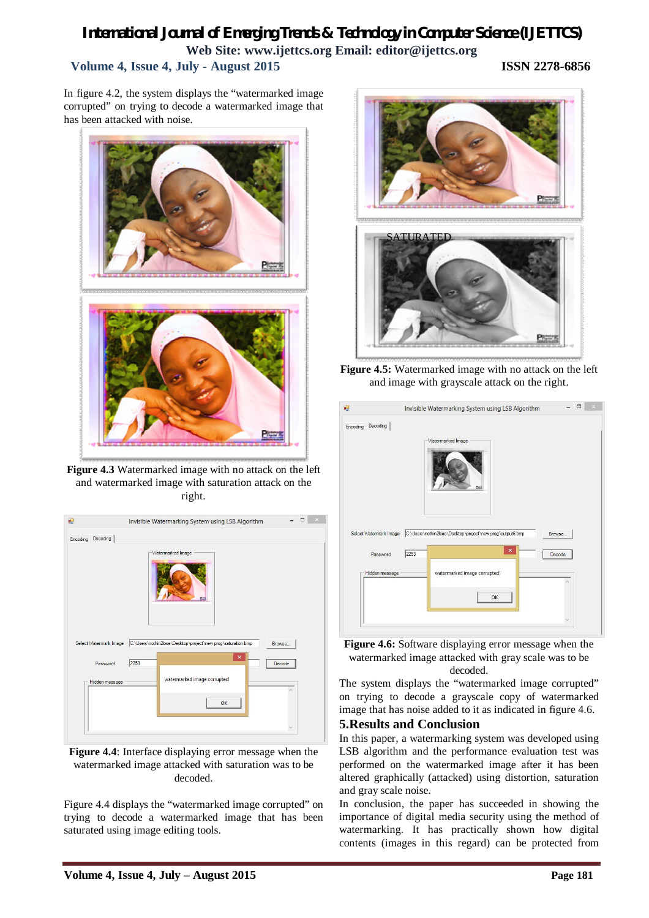# *International Journal of Emerging Trends & Technology in Computer Science (IJETTCS)* **Web Site: www.ijettcs.org Email: editor@ijettcs.org Volume 4, Issue 4, July - August 2015 ISSN 2278-6856**

In figure 4.2, the system displays the "watermarked image corrupted" on trying to decode a watermarked image that has been attacked with noise.



**Figure 4.3** Watermarked image with no attack on the left and watermarked image with saturation attack on the right.

| Encoding Decoding          |      | Watermarked Image                                            |        |
|----------------------------|------|--------------------------------------------------------------|--------|
| Select Watermark Image     |      | C:\Users\nothin2lose\Desktop\project\new prog\saturation.bmp | Browse |
| Password<br>Hidden message | 2253 | $\times$<br>watermarked image corrupted!                     | Decode |
|                            |      | OK                                                           |        |

**Figure 4.4**: Interface displaying error message when the watermarked image attacked with saturation was to be decoded.

Figure 4.4 displays the "watermarked image corrupted" on trying to decode a watermarked image that has been saturated using image editing tools.



**Figure 4.5:** Watermarked image with no attack on the left and image with grayscale attack on the right.

| $\mathbf{p}$           | □<br>Invisible Watermarking System using LSB Algorithm                                         |
|------------------------|------------------------------------------------------------------------------------------------|
| Encoding Decoding      |                                                                                                |
|                        | Watermarked Image                                                                              |
| Select Watermark Image | C:\Users\nothin2lose\Desktop\project\new prog\output6.bmp<br>Browse<br>$\overline{\mathsf{x}}$ |
| Password               | 2253<br>Decode                                                                                 |
| Hidden message         | watermarked image corrupted!<br>OK                                                             |
|                        |                                                                                                |

**Figure 4.6:** Software displaying error message when the watermarked image attacked with gray scale was to be decoded.

The system displays the "watermarked image corrupted" on trying to decode a grayscale copy of watermarked image that has noise added to it as indicated in figure 4.6.

## **5.Results and Conclusion**

In this paper, a watermarking system was developed using LSB algorithm and the performance evaluation test was performed on the watermarked image after it has been altered graphically (attacked) using distortion, saturation and gray scale noise.

In conclusion, the paper has succeeded in showing the importance of digital media security using the method of watermarking. It has practically shown how digital contents (images in this regard) can be protected from